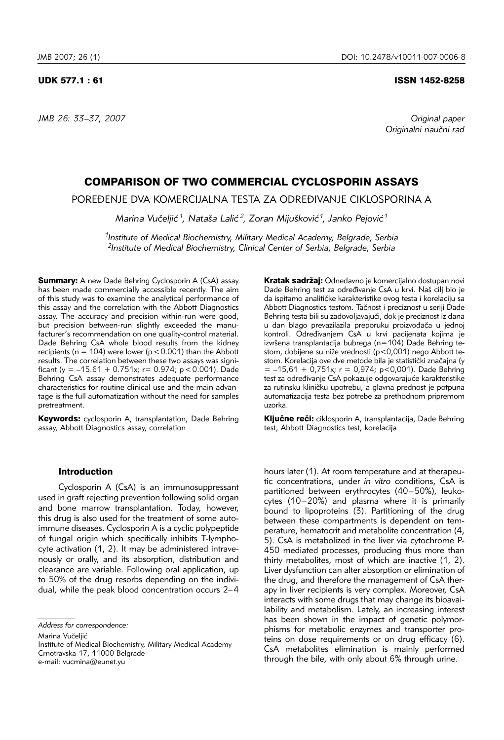*JMB 26: 33–37, 2007 Original paper*

# UDK 577.1 : 61 ISSN 1452-8258

Originalni naučni rad

# COMPARISON OF TWO COMMERCIAL CYCLOSPORIN ASSAYS

POREĐENJE DVA KOMERCIJALNA TESTA ZA ODREĐIVANJE CIKLOSPORINA A

*Marina Vu~elji}1, Nata{a Lali} 2, Zoran Miju{kovi}1, Janko Pejovi}1*

*1Institute of Medical Biochemistry, Military Medical Academy, Belgrade, Serbia 2Institute of Medical Biochemistry, Clinical Center of Serbia, Belgrade, Serbia* 

**Summary:** A new Dade Behring Cyclosporin A (CsA) assay has been made commercially accessible recently. The aim of this study was to examine the analytical performance of this assay and the correlation with the Abbott Diagnostics assay. The accuracy and precision within-run were good, but precision between-run slightly exceeded the manufacturer's recommendation on one quality-control material. Dade Behring CsA whole blood results from the kidney recipients ( $n = 104$ ) were lower ( $p < 0.001$ ) than the Abbott results. The correlation between these two assays was significant (y =  $-15.61 + 0.751x$ ; r = 0.974; p < 0.001). Dade Behring CsA assay demonstrates adequate performance characteristics for routine clinical use and the main advantage is the full automatization without the need for samples pretreatment.

**Keywords:** cyclosporin A, transplantation, Dade Behring assay, Abbott Diagnostics assay, correlation

#### Introduction

Cyclosporin A (CsA) is an immunosuppressant used in graft rejecting prevention following solid organ and bone marrow transplantation. Today, however, this drug is also used for the treatment of some autoimmune diseases. Cyclosporin A is a cyclic polypeptide of fungal origin which specifically inhibits T-lymphocyte activation (1, 2). It may be administered intravenously or orally, and its absorption, distribution and clearance are variable. Following oral application, up to 50% of the drug resorbs depending on the individual, while the peak blood concentration occurs 2–4

Marina Vučeliić

Kratak sadržaj: Odnedavno je komercijalno dostupan novi Dade Behring test za određivanje CsA u krvi. Naš cilj bio je da ispitamo analitičke karakteristike ovog testa i korelaciju sa Abbott Diagnostics testom. Tačnost i preciznost u seriji Dade Behring testa bili su zadovoljavajući, dok je preciznost iz dana u dan blago prevazilazila preporuku proizvođača u jednoj kontroli. Određivanjem CsA u krvi pacijenata kojima je izvršena transplantacija bubrega (n=104) Dade Behring testom, dobijene su niže vrednosti (p<0,001) nego Abbott testom. Korelacija ove dve metode bila je statistički značajna (y  $= -15,61 + 0,751x$ ; r = 0,974; p<0,001). Dade Behring test za određivanje CsA pokazuje odgovarajuće karakteristike za rutinsku kliničku upotrebu, a glavna prednost je potpuna automatizacija testa bez potrebe za prethodnom pripremom uzorka.

Ključne reči: ciklosporin A, transplantacija, Dade Behring test, Abbott Diagnostics test, korelacija

hours later (1). At room temperature and at therapeutic concentrations, under *in vitro* conditions, CsA is partitioned between erythrocytes (40–50%), leukocytes (10–20%) and plasma where it is primarily bound to lipoproteins (3). Partitioning of the drug between these compartments is dependent on temperature, hematocrit and metabolite concentration (4, 5). CsA is metabolized in the liver via cytochrome P-450 mediated processes, producing thus more than thirty metabolites, most of which are inactive (1, 2). Liver dysfunction can alter absorption or elimination of the drug, and therefore the management of CsA therapy in liver recipients is very complex. Moreover, CsA interacts with some drugs that may change its bioavailability and metabolism. Lately, an increasing interest has been shown in the impact of genetic polymorphisms for metabolic enzymes and transporter proteins on dose requirements or on drug efficacy (6). CsA metabolites elimination is mainly performed through the bile, with only about 6% through urine.

*Address for correspondence:* 

Institute of Medical Biochemistry, Military Medical Academy Crnotravska 17, 11000 Belgrade e-mail: vucmina@eunet.yu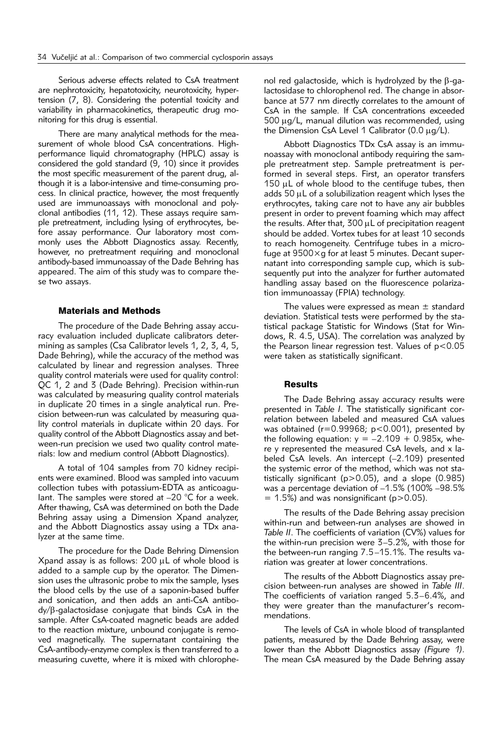Serious adverse effects related to CsA treatment are nephrotoxicity, hepatotoxicity, neurotoxicity, hypertension (7, 8). Considering the potential toxicity and variability in pharmacokinetics, therapeutic drug monitoring for this drug is essential.

There are many analytical methods for the measurement of whole blood CsA concentrations. Highperformance liquid chromatography (HPLC) assay is considered the gold standard (9, 10) since it provides the most specific measurement of the parent drug, although it is a labor-intensive and time-consuming process. In clinical practice, however, the most frequently used are immunoassays with monoclonal and polyclonal antibodies (11, 12). These assays require sample pretreatment, including lysing of erythrocytes, before assay performance. Our laboratory most commonly uses the Abbott Diagnostics assay. Recently, however, no pretreatment requiring and monoclonal antibody-based immunoassay of the Dade Behring has appeared. The aim of this study was to compare these two assays.

# Materials and Methods

The procedure of the Dade Behring assay accuracy evaluation included duplicate calibrators determining as samples (Csa Calibrator levels 1, 2, 3, 4, 5, Dade Behring), while the accuracy of the method was calculated by linear and regression analyses. Three quality control materials were used for quality control: QC 1, 2 and 3 (Dade Behring). Precision within-run was calculated by measuring quality control materials in duplicate 20 times in a single analytical run. Precision between-run was calculated by measuring quality control materials in duplicate within 20 days. For quality control of the Abbott Diagnostics assay and between-run precision we used two quality control materials: low and medium control (Abbott Diagnostics).

A total of 104 samples from 70 kidney recipients were examined. Blood was sampled into vacuum collection tubes with potassium-EDTA as anticoagulant. The samples were stored at –20 °C for a week. After thawing, CsA was determined on both the Dade Behring assay using a Dimension Xpand analyzer, and the Abbott Diagnostics assay using a TDx analyzer at the same time.

The procedure for the Dade Behring Dimension Xpand assay is as follows:  $200 \mu L$  of whole blood is added to a sample cup by the operator. The Dimension uses the ultrasonic probe to mix the sample, lyses the blood cells by the use of a saponin-based buffer and sonication, and then adds an anti-CsA antibody/b-galactosidase conjugate that binds CsA in the sample. After CsA-coated magnetic beads are added to the reaction mixture, unbound conjugate is removed magnetically. The supernatant containing the CsA-antibody-enzyme complex is then transferred to a measuring cuvette, where it is mixed with chlorophenol red galactoside, which is hydrolyzed by the  $\beta$ -galactosidase to chlorophenol red. The change in absorbance at 577 nm directly correlates to the amount of CsA in the sample. If CsA concentrations exceeded  $500 \mu q/L$ , manual dilution was recommended, using the Dimension CsA Level 1 Calibrator (0.0  $\mu$ g/L).

Abbott Diagnostics TDx CsA assay is an immunoassay with monoclonal antibody requiring the sample pretreatment step. Sample pretreatment is performed in several steps. First, an operator transfers 150 uL of whole blood to the centifuge tubes, then adds  $50 \mu L$  of a solubilization reagent which lyses the erythrocytes, taking care not to have any air bubbles present in order to prevent foaming which may affect the results. After that,  $300 \mu L$  of precipitation reagent should be added. Vortex tubes for at least 10 seconds to reach homogeneity. Centrifuge tubes in a microfuge at 9500×g for at least 5 minutes. Decant supernatant into corresponding sample cup, which is subsequently put into the analyzer for further automated handling assay based on the fluorescence polarization immunoassay (FPIA) technology.

The values were expressed as mean  $\pm$  standard deviation. Statistical tests were performed by the statistical package Statistic for Windows (Stat for Windows, R. 4.5, USA). The correlation was analyzed by the Pearson linear regression test. Values of p<0.05 were taken as statistically significant.

#### **Results**

The Dade Behring assay accuracy results were presented in *Table I*. The statistically significant correlation between labeled and measured CsA values was obtained ( $r=0.99968$ ;  $p<0.001$ ), presented by the following equation:  $y = -2.109 + 0.985x$ , where y represented the measured CsA levels, and x labeled CsA levels. An intercept (–2.109) presented the systemic error of the method, which was not statistically significant (p>0.05), and a slope (0.985) was a percentage deviation of –1.5% (100% –98.5%  $= 1.5\%$ ) and was nonsignificant (p>0.05).

The results of the Dade Behring assay precision within-run and between-run analyses are showed in *Table II*. The coefficients of variation (CV%) values for the within-run precision were 3–5.2%, with those for the between-run ranging 7.5–15.1%. The results variation was greater at lower concentrations.

The results of the Abbott Diagnostics assay precision between-run analyses are showed in *Table III*. The coefficients of variation ranged 5.3–6.4%, and they were greater than the manufacturer's recommendations.

The levels of CsA in whole blood of transplanted patients, measured by the Dade Behring assay, were lower than the Abbott Diagnostics assay *(Figure 1)*. The mean CsA measured by the Dade Behring assay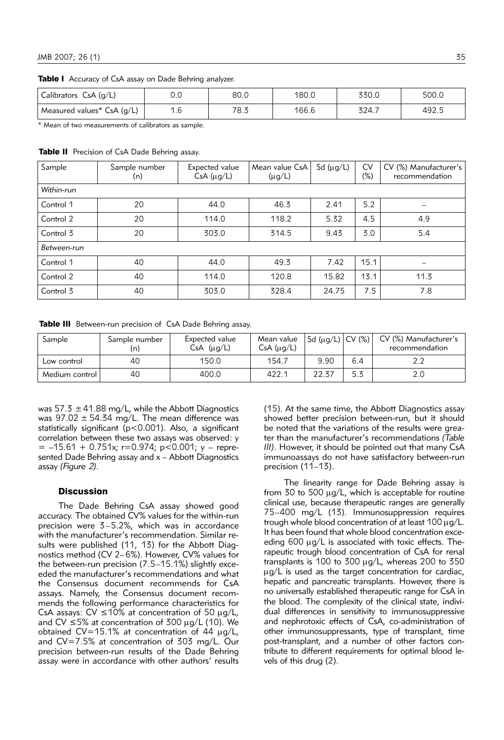Table I Accuracy of CsA assay on Dade Behring analyzer.

| Calibrators $CsA(g/L)$     | ∩ ∩<br>v.v         | 80.0 | 180.0 | 330.0 | 500.0 |
|----------------------------|--------------------|------|-------|-------|-------|
| Measured values* CsA (g/L) | $\sqrt{2}$<br>ا .ا | 78.s | 166.6 | 324.7 | 492.5 |

\* Mean of two measurements of calibrators as sample.

Table II Precision of CsA Dade Behring assay.

| Sample      | Sample number<br>(n) | Expected value<br>CsA (µg/L) | Mean value CsA<br>$(\mu g/L)$ | Sd $(\mu g/L)$ | <b>CV</b><br>$(\%)$ | CV (%) Manufacturer's<br>recommendation |
|-------------|----------------------|------------------------------|-------------------------------|----------------|---------------------|-----------------------------------------|
| Within-run  |                      |                              |                               |                |                     |                                         |
| Control 1   | 20                   | 44.0                         | 46.3                          | 2.41           | 5.2                 |                                         |
| Control 2   | 20                   | 114.0                        | 118.2                         | 5.32           | 4.5                 | 4.9                                     |
| Control 3   | 20                   | 303.0                        | 314.5                         | 9.43           | 3.0                 | 5.4                                     |
| Between-run |                      |                              |                               |                |                     |                                         |
| Control 1   | 40                   | 44.0                         | 49.3                          | 7.42           | 15.1                |                                         |
| Control 2   | 40                   | 114.0                        | 120.8                         | 15.82          | 13.1                | 11.3                                    |
| Control 3   | 40                   | 303.0                        | 328.4                         | 24.75          | 7.5                 | 7.8                                     |

Table III Between-run precision of CsA Dade Behring assay.

| Sample         | Sample number<br>(n) | Expected value<br>$CsA$ ( $\mu q/L$ ) | Mean value<br>CsA (µg/L) | $ Sd (\mu g/L)   CV (\%) $ |     | CV (%) Manufacturer's<br>recommendation |
|----------------|----------------------|---------------------------------------|--------------------------|----------------------------|-----|-----------------------------------------|
| Low control    | 40                   | 150.0                                 | 154.7                    | 9.90                       | 6.4 |                                         |
| Medium control | 40                   | 400.0                                 | 422.1                    | 22.37                      | 5.3 |                                         |

was 57.3  $\pm$  41.88 mg/L, while the Abbott Diagnostics was  $97.02 \pm 54.34$  mg/L. The mean difference was statistically significant (p<0.001). Also, a significant correlation between these two assays was observed: y  $= -15.61 + 0.751x$ ; r=0.974; p<0.001; y – represented Dade Behring assay and x – Abbott Diagnostics assay *(Figure 2)*.

# **Discussion**

The Dade Behring CsA assay showed good accuracy. The obtained CV% values for the within-run precision were 3–5.2%, which was in accordance with the manufacturer's recommendation. Similar results were published (11, 13) for the Abbott Diagnostics method (CV 2–6%). However, CV% values for the between-run precision (7.5–15.1%) slightly exceeded the manufacturer's recommendations and what the Consensus document recommends for CsA assays. Namely, the Consensus document recommends the following performance characteristics for CsA assays:  $CV \le 10\%$  at concentration of 50  $\mu g/L$ , and CV  $\leq$  5% at concentration of 300  $\mu$ g/L (10). We obtained  $CV=15.1%$  at concentration of 44  $\mu$ g/L, and CV=7.5% at concentration of 303 mg/L. Our precision between-run results of the Dade Behring assay were in accordance with other authors' results

(15). At the same time, the Abbott Diagnostics assay showed better precision between-run, but it should be noted that the variations of the results were greater than the manufacturer's recommendations *(Table III)*. However, it should be pointed out that many CsA immunoassays do not have satisfactory between-run precision (11–13).

The linearity range for Dade Behring assay is from 30 to 500  $\mu$ g/L, which is acceptable for routine clinical use, because therapeutic ranges are generally 75–400 mg/L (13). Immunosuppression requires trough whole blood concentration of at least  $100 \mu g/L$ . It has been found that whole blood concentration exceeding  $600 \mu g/L$  is associated with toxic effects. Therapeutic trough blood concentration of CsA for renal transplants is 100 to 300  $\mu$ g/L, whereas 200 to 350  $\mu$ g/L is used as the target concentration for cardiac, hepatic and pancreatic transplants. However, there is no universally established therapeutic range for CsA in the blood. The complexity of the clinical state, individual differences in sensitivity to immunosuppressive and nephrotoxic effects of CsA, co-administration of other immunosuppressants, type of transplant, time post-transplant, and a number of other factors contribute to different requirements for optimal blood levels of this drug (2).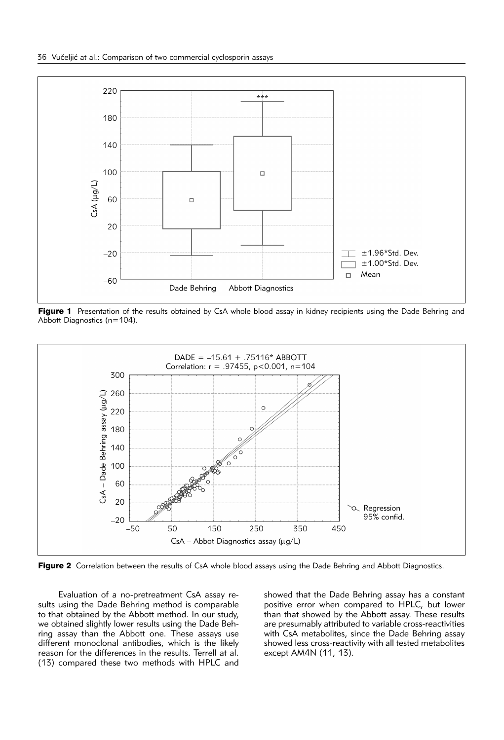

Figure 1 Presentation of the results obtained by CsA whole blood assay in kidney recipients using the Dade Behring and Abbott Diagnostics (n=104).



Figure 2 Correlation between the results of CsA whole blood assays using the Dade Behring and Abbott Diagnostics.

Evaluation of a no-pretreatment CsA assay results using the Dade Behring method is comparable to that obtained by the Abbott method. In our study, we obtained slightly lower results using the Dade Behring assay than the Abbott one. These assays use different monoclonal antibodies, which is the likely reason for the differences in the results. Terrell at al. (13) compared these two methods with HPLC and

showed that the Dade Behring assay has a constant positive error when compared to HPLC, but lower than that showed by the Abbott assay. These results are presumably attributed to variable cross-reactivities with CsA metabolites, since the Dade Behring assay showed less cross-reactivity with all tested metabolites except AM4N (11, 13).